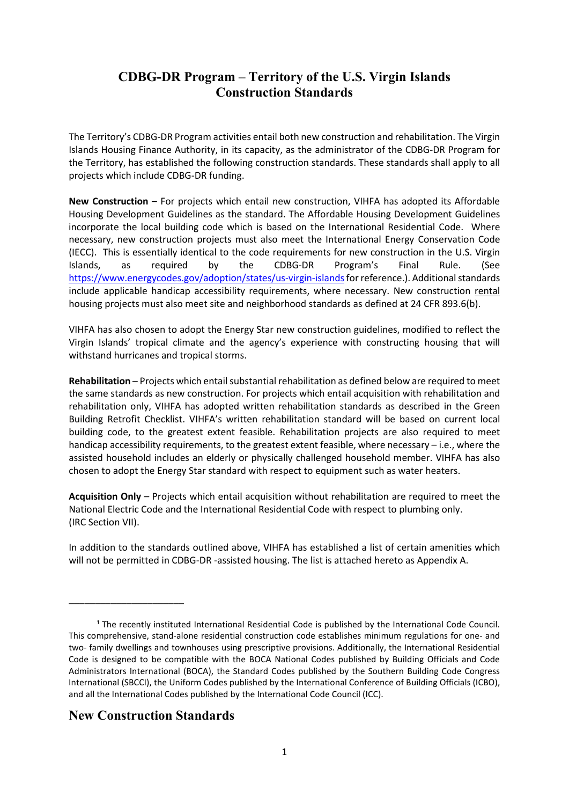# **CDBG-DR Program – Territory of the U.S. Virgin Islands Construction Standards**

The Territory's CDBG-DR Program activities entail both new construction and rehabilitation. The Virgin Islands Housing Finance Authority, in its capacity, as the administrator of the CDBG-DR Program for the Territory, has established the following construction standards. These standards shall apply to all projects which include CDBG-DR funding.

**New Construction** – For projects which entail new construction, VIHFA has adopted its Affordable Housing Development Guidelines as the standard. The Affordable Housing Development Guidelines incorporate the local building code which is based on the International Residential Code. Where necessary, new construction projects must also meet the International Energy Conservation Code (IECC). This is essentially identical to the code requirements for new construction in the U.S. Virgin Islands, as required by the CDBG-DR Program's Final Rule. (See [https://www.energycodes.gov/adoption/states/us-virgin-islandsf](https://www.energycodes.gov/adoption/states/us-virgin-islands)or reference.). Additional standards include applicable handicap accessibility requirements, where necessary. New construction rental housing projects must also meet site and neighborhood standards as defined at 24 CFR 893.6(b).

VIHFA has also chosen to adopt the Energy Star new construction guidelines, modified to reflect the Virgin Islands' tropical climate and the agency's experience with constructing housing that will withstand hurricanes and tropical storms.

**Rehabilitation** – Projects which entail substantial rehabilitation as defined below are required to meet the same standards as new construction. For projects which entail acquisition with rehabilitation and rehabilitation only, VIHFA has adopted written rehabilitation standards as described in the Green Building Retrofit Checklist. VIHFA's written rehabilitation standard will be based on current local building code, to the greatest extent feasible. Rehabilitation projects are also required to meet handicap accessibility requirements, to the greatest extent feasible, where necessary – i.e., where the assisted household includes an elderly or physically challenged household member. VIHFA has also chosen to adopt the Energy Star standard with respect to equipment such as water heaters.

**Acquisition Only** – Projects which entail acquisition without rehabilitation are required to meet the National Electric Code and the International Residential Code with respect to plumbing only. (IRC Section VII).

In addition to the standards outlined above, VIHFA has established a list of certain amenities which will not be permitted in CDBG-DR -assisted housing. The list is attached hereto as Appendix A.

### **New Construction Standards**

\_\_\_\_\_\_\_\_\_\_\_\_\_\_\_\_\_\_\_\_\_\_

<sup>&</sup>lt;sup>1</sup> The recently instituted International Residential Code is published by the International Code Council. This comprehensive, stand-alone residential construction code establishes minimum regulations for one- and two- family dwellings and townhouses using prescriptive provisions. Additionally, the International Residential Code is designed to be compatible with the BOCA National Codes published by Building Officials and Code Administrators International (BOCA), the Standard Codes published by the Southern Building Code Congress International (SBCCI), the Uniform Codes published by the International Conference of Building Officials (ICBO), and all the International Codes published by the International Code Council (ICC).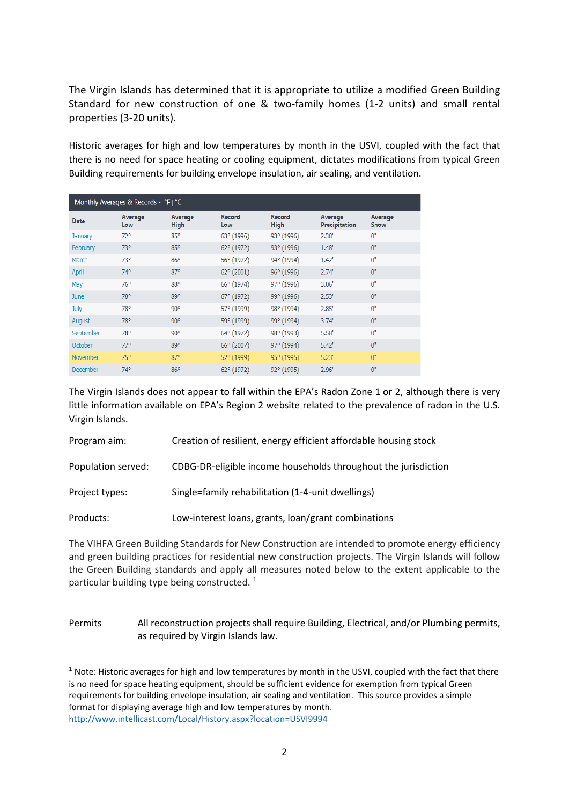The Virgin Islands has determined that it is appropriate to utilize a modified Green Building Standard for new construction of one & two-family homes (1-2 units) and small rental properties (3-20 units).

Historic averages for high and low temperatures by month in the USVI, coupled with the fact that there is no need for space heating or cooling equipment, dictates modifications from typical Green Building requirements for building envelope insulation, air sealing, and ventilation.

| Monthly Averages & Records - °F   °C |                |                        |                      |                              |                          |                 |  |
|--------------------------------------|----------------|------------------------|----------------------|------------------------------|--------------------------|-----------------|--|
| <b>Date</b>                          | Average<br>Low | Average<br><b>High</b> | <b>Record</b><br>Low | <b>Record</b><br><b>High</b> | Average<br>Precipitation | Average<br>Snow |  |
| January                              | $72^{\circ}$   | 85°                    | 63° (1996)           | 93° (1996)                   | 2.38"                    | 0 <sup>n</sup>  |  |
| <b>February</b>                      | 73°            | 85°                    | $62^{\circ}$ (1972)  | 93° (1996)                   | 1.48"                    | 0 <sup>n</sup>  |  |
| March                                | 73°            | 86°                    | 56° (1972)           | 94° (1994)                   | 1.42"                    | 0"              |  |
| April                                | $74^\circ$     | $87^\circ$             | $62^{\circ}$ (2001)  | 96° (1996)                   | 2.74"                    | 0 <sup>n</sup>  |  |
| May                                  | 76°            | 88°                    | 66° (1974)           | 97° (1996)                   | 3.06"                    | 0 <sup>n</sup>  |  |
| <b>June</b>                          | 78°            | 89°                    | 67° (1972)           | 99° (1996)                   | 2.53"                    | 0 <sup>n</sup>  |  |
| July                                 | 78°            | $90^\circ$             | 57° (1999)           | 98° (1994)                   | 2.85"                    | 0 <sup>n</sup>  |  |
| August                               | 78°            | $90^\circ$             | 59° (1999)           | 99° (1994)                   | 3.74"                    | 0 <sup>n</sup>  |  |
| September                            | 78°            | $90^{\circ}$           | 64° (1972)           | 98° (1993)                   | 5.58"                    | 0 <sup>n</sup>  |  |
| October                              | $77^\circ$     | 89°                    | $66^{\circ}$ (2007)  | 97° (1994)                   | 5.42"                    | 0 <sup>n</sup>  |  |
| November                             | $75^\circ$     | $87^\circ$             | $52^{\circ}$ (1999)  | 95° (1995)                   | 5.23"                    | 0 <sup>n</sup>  |  |
| December                             | $74^\circ$     | $86^\circ$             | 62° (1972)           | 92° (1995)                   | 2.96"                    | 0 <sup>n</sup>  |  |

The Virgin Islands does not appear to fall within the EPA's Radon Zone 1 or 2, although there is very little information available on EPA's Region 2 website related to the prevalence of radon in the U.S. Virgin Islands.

| Program aim: |  | Creation of resilient, energy efficient affordable housing stock |  |  |  |  |  |
|--------------|--|------------------------------------------------------------------|--|--|--|--|--|
| - 1.         |  | $- - - - - - -$<br>.                                             |  |  |  |  |  |

Population served: CDBG-DR-eligible income households throughout the jurisdiction

Project types: Single=family rehabilitation (1-4-unit dwellings)

Products: Low-interest loans, grants, loan/grant combinations

The VIHFA Green Building Standards for New Construction are intended to promote energy efficiency and green building practices for residential new construction projects. The Virgin Islands will follow the Green Building standards and apply all measures noted below to the extent applicable to the particular building type being constructed.  $1$ 

Permits All reconstruction projects shall require Building, Electrical, and/or Plumbing permits, as required by Virgin Islands law.

<span id="page-1-0"></span> $1$  Note: Historic averages for high and low temperatures by month in the USVI, coupled with the fact that there is no need for space heating equipment, should be sufficient evidence for exemption from typical Green requirements for building envelope insulation, air sealing and ventilation. This source provides a simple format for displaying average high and low temperatures by month. <http://www.intellicast.com/Local/History.aspx?location=USVI9994>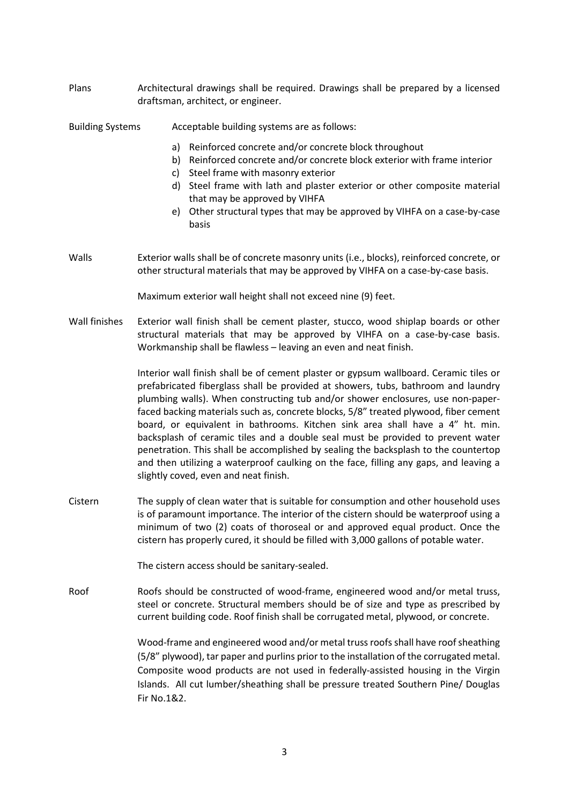Plans Architectural drawings shall be required. Drawings shall be prepared by a licensed draftsman, architect, or engineer.

Building Systems Acceptable building systems are as follows:

- a) Reinforced concrete and/or concrete block throughout
- b) Reinforced concrete and/or concrete block exterior with frame interior
- c) Steel frame with masonry exterior
- d) Steel frame with lath and plaster exterior or other composite material that may be approved by VIHFA
- e) Other structural types that may be approved by VIHFA on a case-by-case basis
- Walls Exterior walls shall be of concrete masonry units (i.e., blocks), reinforced concrete, or other structural materials that may be approved by VIHFA on a case-by-case basis.

Maximum exterior wall height shall not exceed nine (9) feet.

Wall finishes Exterior wall finish shall be cement plaster, stucco, wood shiplap boards or other structural materials that may be approved by VIHFA on a case-by-case basis. Workmanship shall be flawless – leaving an even and neat finish.

> Interior wall finish shall be of cement plaster or gypsum wallboard. Ceramic tiles or prefabricated fiberglass shall be provided at showers, tubs, bathroom and laundry plumbing walls). When constructing tub and/or shower enclosures, use non-paperfaced backing materials such as, concrete blocks, 5/8" treated plywood, fiber cement board, or equivalent in bathrooms. Kitchen sink area shall have a 4" ht. min. backsplash of ceramic tiles and a double seal must be provided to prevent water penetration. This shall be accomplished by sealing the backsplash to the countertop and then utilizing a waterproof caulking on the face, filling any gaps, and leaving a slightly coved, even and neat finish.

Cistern The supply of clean water that is suitable for consumption and other household uses is of paramount importance. The interior of the cistern should be waterproof using a minimum of two (2) coats of thoroseal or and approved equal product. Once the cistern has properly cured, it should be filled with 3,000 gallons of potable water.

The cistern access should be sanitary-sealed.

Roof Roofs should be constructed of wood-frame, engineered wood and/or metal truss, steel or concrete. Structural members should be of size and type as prescribed by current building code. Roof finish shall be corrugated metal, plywood, or concrete.

> Wood-frame and engineered wood and/or metal truss roofs shall have roof sheathing (5/8" plywood), tar paper and purlins prior to the installation of the corrugated metal. Composite wood products are not used in federally-assisted housing in the Virgin Islands. All cut lumber/sheathing shall be pressure treated Southern Pine/ Douglas Fir No.1&2.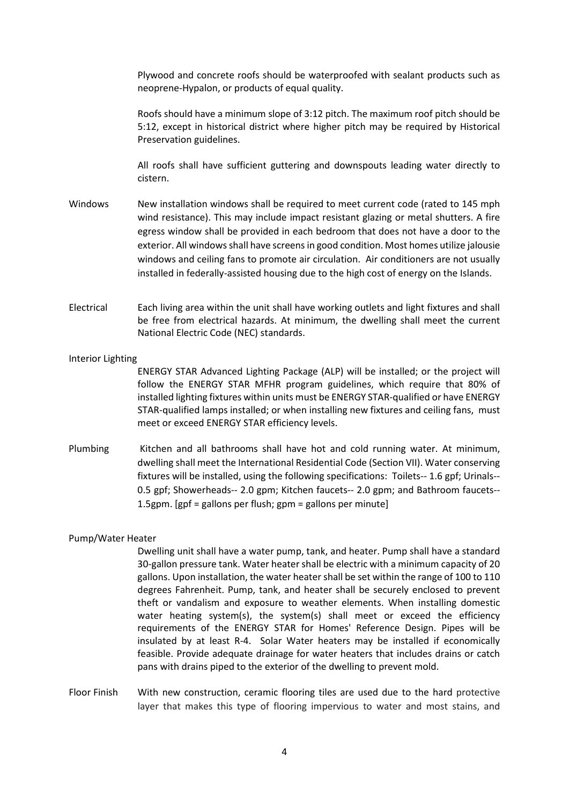Plywood and concrete roofs should be waterproofed with sealant products such as neoprene-Hypalon, or products of equal quality.

Roofs should have a minimum slope of 3:12 pitch. The maximum roof pitch should be 5:12, except in historical district where higher pitch may be required by Historical Preservation guidelines.

All roofs shall have sufficient guttering and downspouts leading water directly to cistern.

- Windows New installation windows shall be required to meet current code (rated to 145 mph wind resistance). This may include impact resistant glazing or metal shutters. A fire egress window shall be provided in each bedroom that does not have a door to the exterior. All windows shall have screens in good condition. Most homes utilize jalousie windows and ceiling fans to promote air circulation. Air conditioners are not usually installed in federally-assisted housing due to the high cost of energy on the Islands.
- Electrical Each living area within the unit shall have working outlets and light fixtures and shall be free from electrical hazards. At minimum, the dwelling shall meet the current National Electric Code (NEC) standards.

Interior Lighting

ENERGY STAR Advanced Lighting Package (ALP) will be installed; or the project will follow the ENERGY STAR MFHR program guidelines, which require that 80% of installed lighting fixtures within units must be ENERGY STAR-qualified or have ENERGY STAR-qualified lamps installed; or when installing new fixtures and ceiling fans, must meet or exceed ENERGY STAR efficiency levels.

Plumbing Kitchen and all bathrooms shall have hot and cold running water. At minimum, dwelling shall meet the International Residential Code (Section VII). Water conserving fixtures will be installed, using the following specifications: Toilets-- 1.6 gpf; Urinals-- 0.5 gpf; Showerheads-- 2.0 gpm; Kitchen faucets-- 2.0 gpm; and Bathroom faucets-- 1.5gpm. [gpf = gallons per flush; gpm = gallons per minute]

#### Pump/Water Heater

Dwelling unit shall have a water pump, tank, and heater. Pump shall have a standard 30-gallon pressure tank. Water heater shall be electric with a minimum capacity of 20 gallons. Upon installation, the water heater shall be set within the range of 100 to 110 degrees Fahrenheit. Pump, tank, and heater shall be securely enclosed to prevent theft or vandalism and exposure to weather elements. When installing domestic water heating system(s), the system(s) shall meet or exceed the efficiency requirements of the ENERGY STAR for Homes' Reference Design. Pipes will be insulated by at least R-4. Solar Water heaters may be installed if economically feasible. Provide adequate drainage for water heaters that includes drains or catch pans with drains piped to the exterior of the dwelling to prevent mold.

Floor Finish With new construction, ceramic flooring tiles are used due to the hard protective layer that makes this type of flooring impervious to water and most stains, and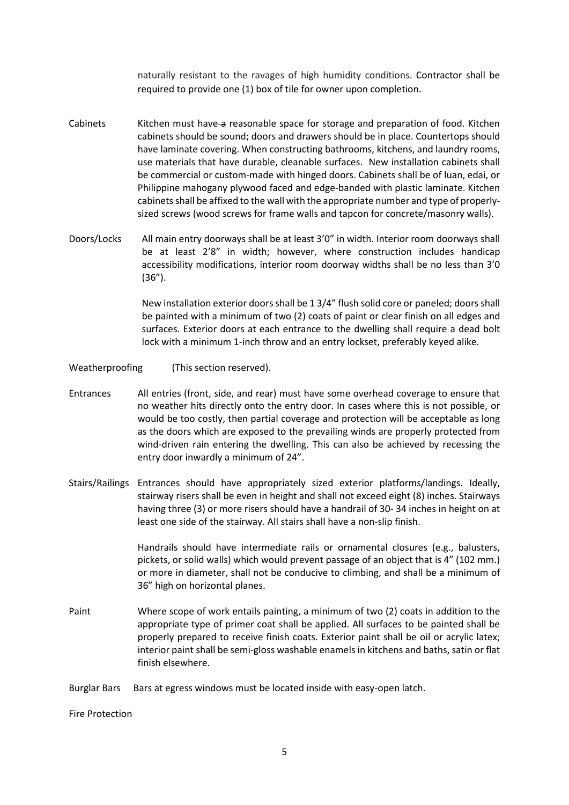naturally resistant to the ravages of high humidity conditions. Contractor shall be required to provide one (1) box of tile for owner upon completion.

- Cabinets Kitchen must have a reasonable space for storage and preparation of food. Kitchen cabinets should be sound; doors and drawers should be in place. Countertops should have laminate covering. When constructing bathrooms, kitchens, and laundry rooms, use materials that have durable, cleanable surfaces. New installation cabinets shall be commercial or custom-made with hinged doors. Cabinets shall be of luan, edai, or Philippine mahogany plywood faced and edge-banded with plastic laminate. Kitchen cabinets shall be affixed to the wall with the appropriate number and type of properlysized screws (wood screws for frame walls and tapcon for concrete/masonry walls).
- Doors/Locks All main entry doorways shall be at least 3'0" in width. Interior room doorways shall be at least 2'8" in width; however, where construction includes handicap accessibility modifications, interior room doorway widths shall be no less than 3'0 (36").

New installation exterior doors shall be 1 3/4" flush solid core or paneled; doors shall be painted with a minimum of two (2) coats of paint or clear finish on all edges and surfaces. Exterior doors at each entrance to the dwelling shall require a dead bolt lock with a minimum 1-inch throw and an entry lockset, preferably keyed alike.

- Weatherproofing (This section reserved).
- Entrances All entries (front, side, and rear) must have some overhead coverage to ensure that no weather hits directly onto the entry door. In cases where this is not possible, or would be too costly, then partial coverage and protection will be acceptable as long as the doors which are exposed to the prevailing winds are properly protected from wind-driven rain entering the dwelling. This can also be achieved by recessing the entry door inwardly a minimum of 24".
- Stairs/Railings Entrances should have appropriately sized exterior platforms/landings. Ideally, stairway risers shall be even in height and shall not exceed eight (8) inches. Stairways having three (3) or more risers should have a handrail of 30- 34 inches in height on at least one side of the stairway. All stairs shall have a non-slip finish.

Handrails should have intermediate rails or ornamental closures (e.g., balusters, pickets, or solid walls) which would prevent passage of an object that is 4" (102 mm.) or more in diameter, shall not be conducive to climbing, and shall be a minimum of 36" high on horizontal planes.

Paint Where scope of work entails painting, a minimum of two (2) coats in addition to the appropriate type of primer coat shall be applied. All surfaces to be painted shall be properly prepared to receive finish coats. Exterior paint shall be oil or acrylic latex; interior paint shall be semi-gloss washable enamels in kitchens and baths, satin or flat finish elsewhere.

Burglar Bars Bars at egress windows must be located inside with easy-open latch.

Fire Protection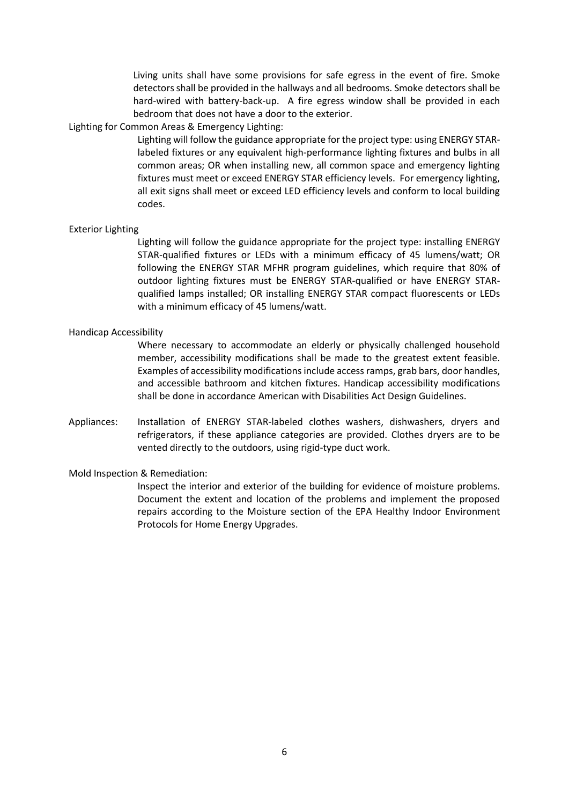Living units shall have some provisions for safe egress in the event of fire. Smoke detectors shall be provided in the hallways and all bedrooms. Smoke detectors shall be hard-wired with battery-back-up. A fire egress window shall be provided in each bedroom that does not have a door to the exterior.

### Lighting for Common Areas & Emergency Lighting:

Lighting will follow the guidance appropriate for the project type: using ENERGY STARlabeled fixtures or any equivalent high-performance lighting fixtures and bulbs in all common areas; OR when installing new, all common space and emergency lighting fixtures must meet or exceed ENERGY STAR efficiency levels. For emergency lighting, all exit signs shall meet or exceed LED efficiency levels and conform to local building codes.

#### Exterior Lighting

Lighting will follow the guidance appropriate for the project type: installing ENERGY STAR-qualified fixtures or LEDs with a minimum efficacy of 45 lumens/watt; OR following the ENERGY STAR MFHR program guidelines, which require that 80% of outdoor lighting fixtures must be ENERGY STAR-qualified or have ENERGY STARqualified lamps installed; OR installing ENERGY STAR compact fluorescents or LEDs with a minimum efficacy of 45 lumens/watt.

#### Handicap Accessibility

Where necessary to accommodate an elderly or physically challenged household member, accessibility modifications shall be made to the greatest extent feasible. Examples of accessibility modifications include access ramps, grab bars, door handles, and accessible bathroom and kitchen fixtures. Handicap accessibility modifications shall be done in accordance American with Disabilities Act Design Guidelines.

Appliances: Installation of ENERGY STAR-labeled clothes washers, dishwashers, dryers and refrigerators, if these appliance categories are provided. Clothes dryers are to be vented directly to the outdoors, using rigid-type duct work.

#### Mold Inspection & Remediation:

Inspect the interior and exterior of the building for evidence of moisture problems. Document the extent and location of the problems and implement the proposed repairs according to the Moisture section of the EPA Healthy Indoor Environment Protocols for Home Energy Upgrades.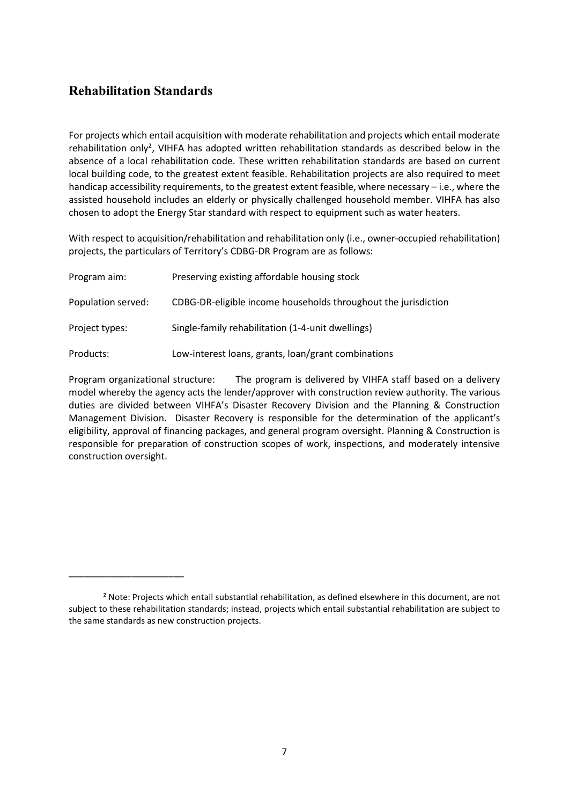# **Rehabilitation Standards**

\_\_\_\_\_\_\_\_\_\_\_\_\_\_\_\_\_\_\_\_\_\_

For projects which entail acquisition with moderate rehabilitation and projects which entail moderate rehabilitation only², VIHFA has adopted written rehabilitation standards as described below in the absence of a local rehabilitation code. These written rehabilitation standards are based on current local building code, to the greatest extent feasible. Rehabilitation projects are also required to meet handicap accessibility requirements, to the greatest extent feasible, where necessary – i.e., where the assisted household includes an elderly or physically challenged household member. VIHFA has also chosen to adopt the Energy Star standard with respect to equipment such as water heaters.

With respect to acquisition/rehabilitation and rehabilitation only (i.e., owner-occupied rehabilitation) projects, the particulars of Territory's CDBG-DR Program are as follows:

| Program aim:       | Preserving existing affordable housing stock                   |
|--------------------|----------------------------------------------------------------|
| Population served: | CDBG-DR-eligible income households throughout the jurisdiction |
| Project types:     | Single-family rehabilitation (1-4-unit dwellings)              |
| Products:          | Low-interest loans, grants, loan/grant combinations            |

Program organizational structure: The program is delivered by VIHFA staff based on a delivery model whereby the agency acts the lender/approver with construction review authority. The various duties are divided between VIHFA's Disaster Recovery Division and the Planning & Construction Management Division. Disaster Recovery is responsible for the determination of the applicant's eligibility, approval of financing packages, and general program oversight. Planning & Construction is responsible for preparation of construction scopes of work, inspections, and moderately intensive construction oversight.

² Note: Projects which entail substantial rehabilitation, as defined elsewhere in this document, are not subject to these rehabilitation standards; instead, projects which entail substantial rehabilitation are subject to the same standards as new construction projects.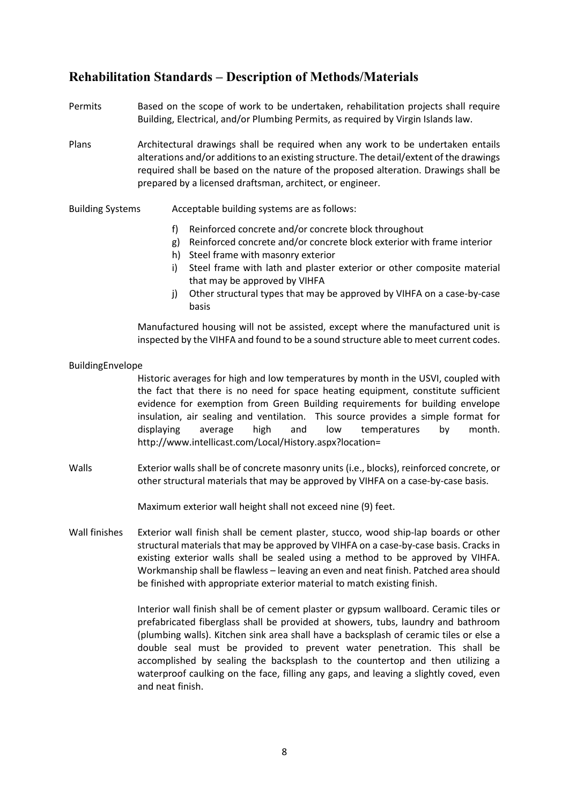## **Rehabilitation Standards – Description of Methods/Materials**

- Permits Based on the scope of work to be undertaken, rehabilitation projects shall require Building, Electrical, and/or Plumbing Permits, as required by Virgin Islands law.
- Plans **Architectural drawings shall be required when any work to be undertaken entails** alterations and/or additions to an existing structure. The detail/extent of the drawings required shall be based on the nature of the proposed alteration. Drawings shall be prepared by a licensed draftsman, architect, or engineer.
- Building Systems Acceptable building systems are as follows:
	- f) Reinforced concrete and/or concrete block throughout
	- g) Reinforced concrete and/or concrete block exterior with frame interior
	- h) Steel frame with masonry exterior
	- i) Steel frame with lath and plaster exterior or other composite material that may be approved by VIHFA
	- j) Other structural types that may be approved by VIHFA on a case-by-case basis

Manufactured housing will not be assisted, except where the manufactured unit is inspected by the VIHFA and found to be a sound structure able to meet current codes.

### BuildingEnvelope

Historic averages for high and low temperatures by month in the USVI, coupled with the fact that there is no need for space heating equipment, constitute sufficient evidence for exemption from Green Building requirements for building envelope insulation, air sealing and ventilation. This source provides a simple format for displaying average high and low temperatures by month. http://www.intellicast.com/Local/History.aspx?location=

Walls Exterior walls shall be of concrete masonry units (i.e., blocks), reinforced concrete, or other structural materials that may be approved by VIHFA on a case-by-case basis.

Maximum exterior wall height shall not exceed nine (9) feet.

Wall finishes Exterior wall finish shall be cement plaster, stucco, wood ship-lap boards or other structural materials that may be approved by VIHFA on a case-by-case basis. Cracks in existing exterior walls shall be sealed using a method to be approved by VIHFA. Workmanship shall be flawless – leaving an even and neat finish. Patched area should be finished with appropriate exterior material to match existing finish.

> Interior wall finish shall be of cement plaster or gypsum wallboard. Ceramic tiles or prefabricated fiberglass shall be provided at showers, tubs, laundry and bathroom (plumbing walls). Kitchen sink area shall have a backsplash of ceramic tiles or else a double seal must be provided to prevent water penetration. This shall be accomplished by sealing the backsplash to the countertop and then utilizing a waterproof caulking on the face, filling any gaps, and leaving a slightly coved, even and neat finish.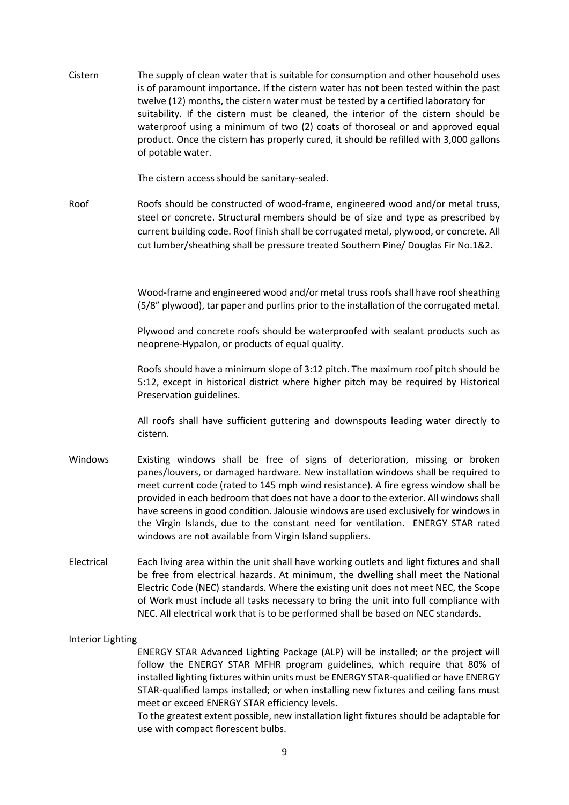Cistern The supply of clean water that is suitable for consumption and other household uses is of paramount importance. If the cistern water has not been tested within the past twelve (12) months, the cistern water must be tested by a certified laboratory for suitability. If the cistern must be cleaned, the interior of the cistern should be waterproof using a minimum of two (2) coats of thoroseal or and approved equal product. Once the cistern has properly cured, it should be refilled with 3,000 gallons of potable water.

The cistern access should be sanitary-sealed.

Roof Roofs should be constructed of wood-frame, engineered wood and/or metal truss, steel or concrete. Structural members should be of size and type as prescribed by current building code. Roof finish shall be corrugated metal, plywood, or concrete. All cut lumber/sheathing shall be pressure treated Southern Pine/ Douglas Fir No.1&2.

> Wood-frame and engineered wood and/or metal truss roofs shall have roof sheathing (5/8" plywood), tar paper and purlins prior to the installation of the corrugated metal.

> Plywood and concrete roofs should be waterproofed with sealant products such as neoprene-Hypalon, or products of equal quality.

> Roofs should have a minimum slope of 3:12 pitch. The maximum roof pitch should be 5:12, except in historical district where higher pitch may be required by Historical Preservation guidelines.

> All roofs shall have sufficient guttering and downspouts leading water directly to cistern.

- Windows Existing windows shall be free of signs of deterioration, missing or broken panes/louvers, or damaged hardware. New installation windows shall be required to meet current code (rated to 145 mph wind resistance). A fire egress window shall be provided in each bedroom that does not have a door to the exterior. All windows shall have screens in good condition. Jalousie windows are used exclusively for windows in the Virgin Islands, due to the constant need for ventilation. ENERGY STAR rated windows are not available from Virgin Island suppliers.
- Electrical Each living area within the unit shall have working outlets and light fixtures and shall be free from electrical hazards. At minimum, the dwelling shall meet the National Electric Code (NEC) standards. Where the existing unit does not meet NEC, the Scope of Work must include all tasks necessary to bring the unit into full compliance with NEC. All electrical work that is to be performed shall be based on NEC standards.

#### Interior Lighting

ENERGY STAR Advanced Lighting Package (ALP) will be installed; or the project will follow the ENERGY STAR MFHR program guidelines, which require that 80% of installed lighting fixtures within units must be ENERGY STAR-qualified or have ENERGY STAR-qualified lamps installed; or when installing new fixtures and ceiling fans must meet or exceed ENERGY STAR efficiency levels.

To the greatest extent possible, new installation light fixtures should be adaptable for use with compact florescent bulbs.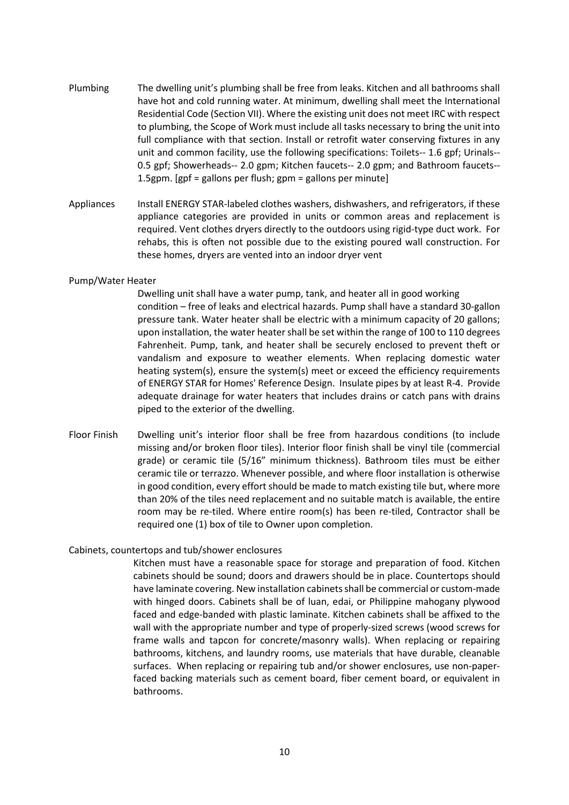- Plumbing The dwelling unit's plumbing shall be free from leaks. Kitchen and all bathrooms shall have hot and cold running water. At minimum, dwelling shall meet the International Residential Code (Section VII). Where the existing unit does not meet IRC with respect to plumbing, the Scope of Work must include all tasks necessary to bring the unit into full compliance with that section. Install or retrofit water conserving fixtures in any unit and common facility, use the following specifications: Toilets-- 1.6 gpf; Urinals-- 0.5 gpf; Showerheads-- 2.0 gpm; Kitchen faucets-- 2.0 gpm; and Bathroom faucets-- 1.5gpm. [gpf = gallons per flush; gpm = gallons per minute]
- Appliances Install ENERGY STAR-labeled clothes washers, dishwashers, and refrigerators, if these appliance categories are provided in units or common areas and replacement is required. Vent clothes dryers directly to the outdoors using rigid-type duct work. For rehabs, this is often not possible due to the existing poured wall construction. For these homes, dryers are vented into an indoor dryer vent

#### Pump/Water Heater

Dwelling unit shall have a water pump, tank, and heater all in good working condition – free of leaks and electrical hazards. Pump shall have a standard 30-gallon pressure tank. Water heater shall be electric with a minimum capacity of 20 gallons; upon installation, the water heater shall be set within the range of 100 to 110 degrees Fahrenheit. Pump, tank, and heater shall be securely enclosed to prevent theft or vandalism and exposure to weather elements. When replacing domestic water heating system(s), ensure the system(s) meet or exceed the efficiency requirements of ENERGY STAR for Homes' Reference Design. Insulate pipes by at least R-4. Provide adequate drainage for water heaters that includes drains or catch pans with drains piped to the exterior of the dwelling.

Floor Finish Dwelling unit's interior floor shall be free from hazardous conditions (to include missing and/or broken floor tiles). Interior floor finish shall be vinyl tile (commercial grade) or ceramic tile (5/16" minimum thickness). Bathroom tiles must be either ceramic tile or terrazzo. Whenever possible, and where floor installation is otherwise in good condition, every effort should be made to match existing tile but, where more than 20% of the tiles need replacement and no suitable match is available, the entire room may be re-tiled. Where entire room(s) has been re-tiled, Contractor shall be required one (1) box of tile to Owner upon completion.

#### Cabinets, countertops and tub/shower enclosures

Kitchen must have a reasonable space for storage and preparation of food. Kitchen cabinets should be sound; doors and drawers should be in place. Countertops should have laminate covering. New installation cabinets shall be commercial or custom-made with hinged doors. Cabinets shall be of luan, edai, or Philippine mahogany plywood faced and edge-banded with plastic laminate. Kitchen cabinets shall be affixed to the wall with the appropriate number and type of properly-sized screws (wood screws for frame walls and tapcon for concrete/masonry walls). When replacing or repairing bathrooms, kitchens, and laundry rooms, use materials that have durable, cleanable surfaces. When replacing or repairing tub and/or shower enclosures, use non-paperfaced backing materials such as cement board, fiber cement board, or equivalent in bathrooms.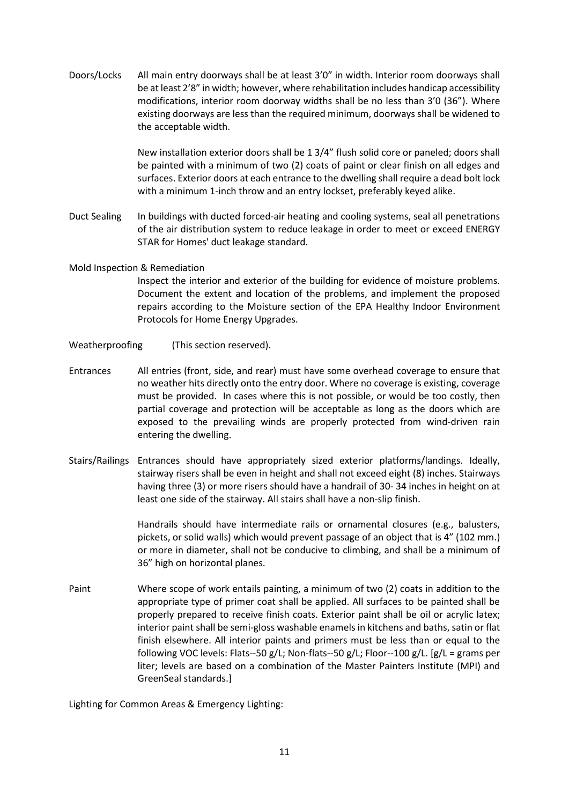Doors/Locks All main entry doorways shall be at least 3'0" in width. Interior room doorways shall be at least 2'8" in width; however, where rehabilitation includes handicap accessibility modifications, interior room doorway widths shall be no less than 3'0 (36"). Where existing doorways are less than the required minimum, doorways shall be widened to the acceptable width.

> New installation exterior doors shall be 1 3/4" flush solid core or paneled; doors shall be painted with a minimum of two (2) coats of paint or clear finish on all edges and surfaces. Exterior doors at each entrance to the dwelling shall require a dead bolt lock with a minimum 1-inch throw and an entry lockset, preferably keyed alike.

- Duct Sealing In buildings with ducted forced-air heating and cooling systems, seal all penetrations of the air distribution system to reduce leakage in order to meet or exceed ENERGY STAR for Homes' duct leakage standard.
- Mold Inspection & Remediation

Inspect the interior and exterior of the building for evidence of moisture problems. Document the extent and location of the problems, and implement the proposed repairs according to the Moisture section of the EPA Healthy Indoor Environment Protocols for Home Energy Upgrades.

- Weatherproofing (This section reserved).
- Entrances All entries (front, side, and rear) must have some overhead coverage to ensure that no weather hits directly onto the entry door. Where no coverage is existing, coverage must be provided. In cases where this is not possible, or would be too costly, then partial coverage and protection will be acceptable as long as the doors which are exposed to the prevailing winds are properly protected from wind-driven rain entering the dwelling.
- Stairs/Railings Entrances should have appropriately sized exterior platforms/landings. Ideally, stairway risers shall be even in height and shall not exceed eight (8) inches. Stairways having three (3) or more risers should have a handrail of 30- 34 inches in height on at least one side of the stairway. All stairs shall have a non-slip finish.

Handrails should have intermediate rails or ornamental closures (e.g., balusters, pickets, or solid walls) which would prevent passage of an object that is 4" (102 mm.) or more in diameter, shall not be conducive to climbing, and shall be a minimum of 36" high on horizontal planes.

Paint Where scope of work entails painting, a minimum of two (2) coats in addition to the appropriate type of primer coat shall be applied. All surfaces to be painted shall be properly prepared to receive finish coats. Exterior paint shall be oil or acrylic latex; interior paint shall be semi-gloss washable enamels in kitchens and baths, satin or flat finish elsewhere. All interior paints and primers must be less than or equal to the following VOC levels: Flats--50 g/L; Non-flats--50 g/L; Floor--100 g/L. [g/L = grams per liter; levels are based on a combination of the Master Painters Institute (MPI) and GreenSeal standards.]

Lighting for Common Areas & Emergency Lighting: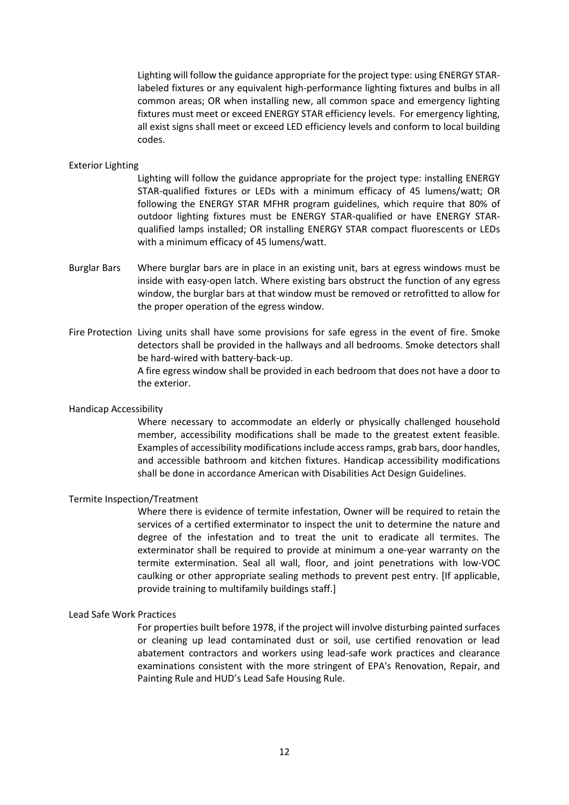Lighting will follow the guidance appropriate for the project type: using ENERGY STARlabeled fixtures or any equivalent high-performance lighting fixtures and bulbs in all common areas; OR when installing new, all common space and emergency lighting fixtures must meet or exceed ENERGY STAR efficiency levels. For emergency lighting, all exist signs shall meet or exceed LED efficiency levels and conform to local building codes.

#### Exterior Lighting

Lighting will follow the guidance appropriate for the project type: installing ENERGY STAR-qualified fixtures or LEDs with a minimum efficacy of 45 lumens/watt; OR following the ENERGY STAR MFHR program guidelines, which require that 80% of outdoor lighting fixtures must be ENERGY STAR-qualified or have ENERGY STARqualified lamps installed; OR installing ENERGY STAR compact fluorescents or LEDs with a minimum efficacy of 45 lumens/watt.

- Burglar Bars Where burglar bars are in place in an existing unit, bars at egress windows must be inside with easy-open latch. Where existing bars obstruct the function of any egress window, the burglar bars at that window must be removed or retrofitted to allow for the proper operation of the egress window.
- Fire Protection Living units shall have some provisions for safe egress in the event of fire. Smoke detectors shall be provided in the hallways and all bedrooms. Smoke detectors shall be hard-wired with battery-back-up. A fire egress window shall be provided in each bedroom that does not have a door to the exterior.

#### Handicap Accessibility

Where necessary to accommodate an elderly or physically challenged household member, accessibility modifications shall be made to the greatest extent feasible. Examples of accessibility modifications include accessramps, grab bars, door handles, and accessible bathroom and kitchen fixtures. Handicap accessibility modifications shall be done in accordance American with Disabilities Act Design Guidelines.

#### Termite Inspection/Treatment

Where there is evidence of termite infestation, Owner will be required to retain the services of a certified exterminator to inspect the unit to determine the nature and degree of the infestation and to treat the unit to eradicate all termites. The exterminator shall be required to provide at minimum a one-year warranty on the termite extermination. Seal all wall, floor, and joint penetrations with low-VOC caulking or other appropriate sealing methods to prevent pest entry. [If applicable, provide training to multifamily buildings staff.]

#### Lead Safe Work Practices

For properties built before 1978, if the project will involve disturbing painted surfaces or cleaning up lead contaminated dust or soil, use certified renovation or lead abatement contractors and workers using lead-safe work practices and clearance examinations consistent with the more stringent of EPA's Renovation, Repair, and Painting Rule and HUD's Lead Safe Housing Rule.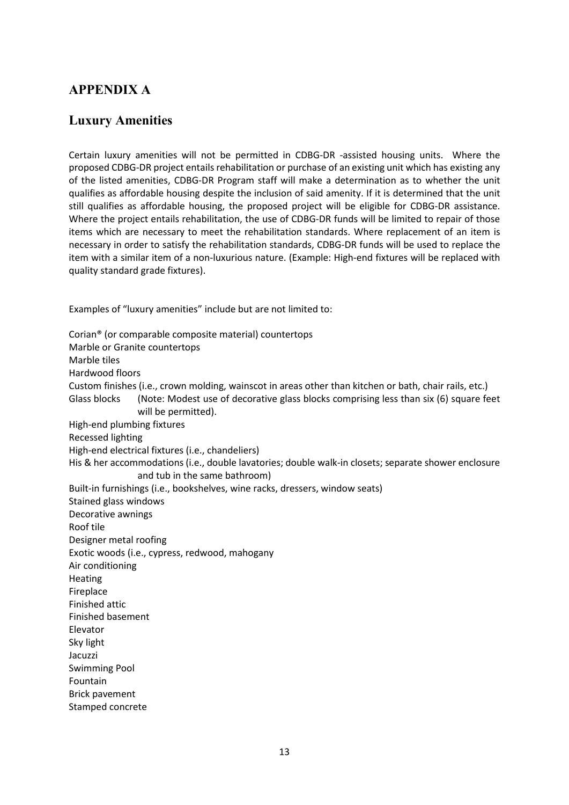# **APPENDIX A**

## **Luxury Amenities**

Certain luxury amenities will not be permitted in CDBG-DR -assisted housing units. Where the proposed CDBG-DR project entails rehabilitation or purchase of an existing unit which has existing any of the listed amenities, CDBG-DR Program staff will make a determination as to whether the unit qualifies as affordable housing despite the inclusion of said amenity. If it is determined that the unit still qualifies as affordable housing, the proposed project will be eligible for CDBG-DR assistance. Where the project entails rehabilitation, the use of CDBG-DR funds will be limited to repair of those items which are necessary to meet the rehabilitation standards. Where replacement of an item is necessary in order to satisfy the rehabilitation standards, CDBG-DR funds will be used to replace the item with a similar item of a non-luxurious nature. (Example: High-end fixtures will be replaced with quality standard grade fixtures).

Examples of "luxury amenities" include but are not limited to:

Corian® (or comparable composite material) countertops Marble or Granite countertops Marble tiles Hardwood floors Custom finishes (i.e., crown molding, wainscot in areas other than kitchen or bath, chair rails, etc.) Glass blocks (Note: Modest use of decorative glass blocks comprising less than six (6) square feet will be permitted). High-end plumbing fixtures Recessed lighting High-end electrical fixtures (i.e., chandeliers) His & her accommodations (i.e., double lavatories; double walk-in closets; separate shower enclosure and tub in the same bathroom) Built-in furnishings (i.e., bookshelves, wine racks, dressers, window seats) Stained glass windows Decorative awnings Roof tile Designer metal roofing Exotic woods (i.e., cypress, redwood, mahogany Air conditioning Heating Fireplace Finished attic Finished basement Elevator Sky light Jacuzzi Swimming Pool Fountain Brick pavement Stamped concrete